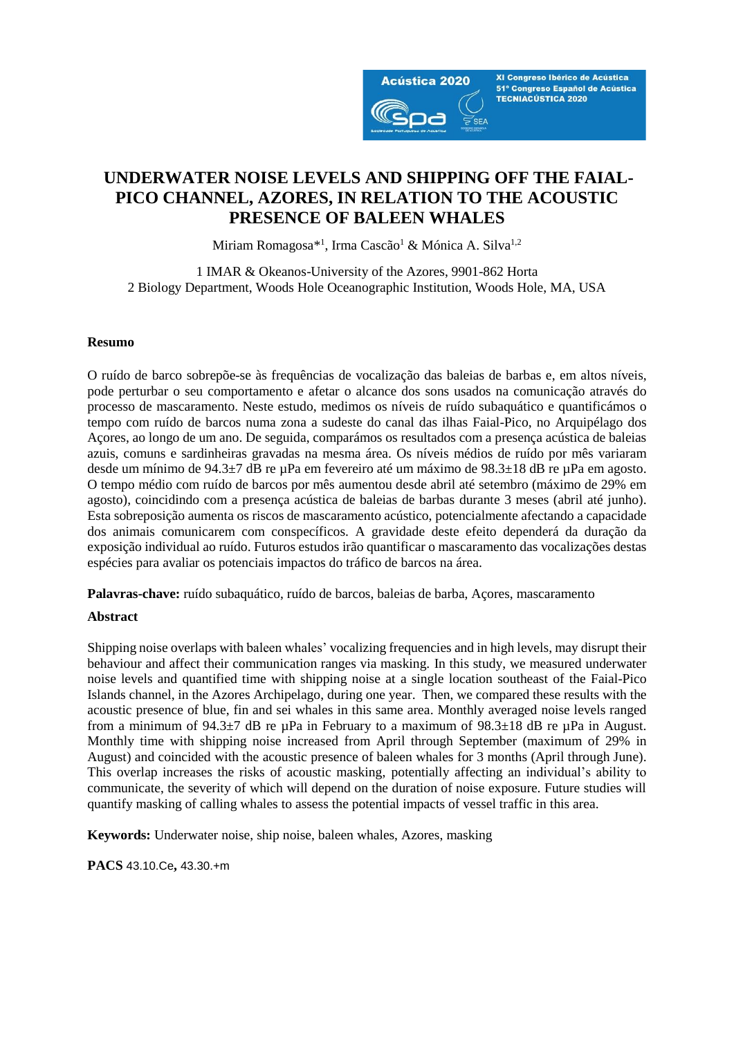

XI Congreso Ibérico de Acústica 51º Congreso Español de Acústica **TECNIACÚSTICA 2020** 

# **UNDERWATER NOISE LEVELS AND SHIPPING OFF THE FAIAL-PICO CHANNEL, AZORES, IN RELATION TO THE ACOUSTIC PRESENCE OF BALEEN WHALES**

Miriam Romagosa\*<sup>1</sup>, Irma Cascão<sup>1</sup> & Mónica A. Silva<sup>1,2</sup>

1 IMAR & Okeanos-University of the Azores, 9901-862 Horta 2 Biology Department, Woods Hole Oceanographic Institution, Woods Hole, MA, USA

#### **Resumo**

O ruído de barco sobrepõe-se às frequências de vocalização das baleias de barbas e, em altos níveis, pode perturbar o seu comportamento e afetar o alcance dos sons usados na comunicação através do processo de mascaramento. Neste estudo, medimos os níveis de ruído subaquático e quantificámos o tempo com ruído de barcos numa zona a sudeste do canal das ilhas Faial-Pico, no Arquipélago dos Açores, ao longo de um ano. De seguida, comparámos os resultados com a presença acústica de baleias azuis, comuns e sardinheiras gravadas na mesma área. Os níveis médios de ruído por mês variaram desde um mínimo de 94.3±7 dB re µPa em fevereiro até um máximo de 98.3±18 dB re µPa em agosto. O tempo médio com ruído de barcos por mês aumentou desde abril até setembro (máximo de 29% em agosto), coincidindo com a presença acústica de baleias de barbas durante 3 meses (abril até junho). Esta sobreposição aumenta os riscos de mascaramento acústico, potencialmente afectando a capacidade dos animais comunicarem com conspecíficos. A gravidade deste efeito dependerá da duração da exposição individual ao ruído. Futuros estudos irão quantificar o mascaramento das vocalizações destas espécies para avaliar os potenciais impactos do tráfico de barcos na área.

**Palavras-chave:** ruído subaquático, ruído de barcos, baleias de barba, Açores, mascaramento

### **Abstract**

Shipping noise overlaps with baleen whales' vocalizing frequencies and in high levels, may disrupt their behaviour and affect their communication ranges via masking. In this study, we measured underwater noise levels and quantified time with shipping noise at a single location southeast of the Faial-Pico Islands channel, in the Azores Archipelago, during one year. Then, we compared these results with the acoustic presence of blue, fin and sei whales in this same area. Monthly averaged noise levels ranged from a minimum of  $94.3\pm7$  dB re  $\mu$ Pa in February to a maximum of  $98.3\pm18$  dB re  $\mu$ Pa in August. Monthly time with shipping noise increased from April through September (maximum of 29% in August) and coincided with the acoustic presence of baleen whales for 3 months (April through June). This overlap increases the risks of acoustic masking, potentially affecting an individual's ability to communicate, the severity of which will depend on the duration of noise exposure. Future studies will quantify masking of calling whales to assess the potential impacts of vessel traffic in this area.

**Keywords:** Underwater noise, ship noise, baleen whales, Azores, masking

**PACS** 43.10.Ce**,** 43.30.+m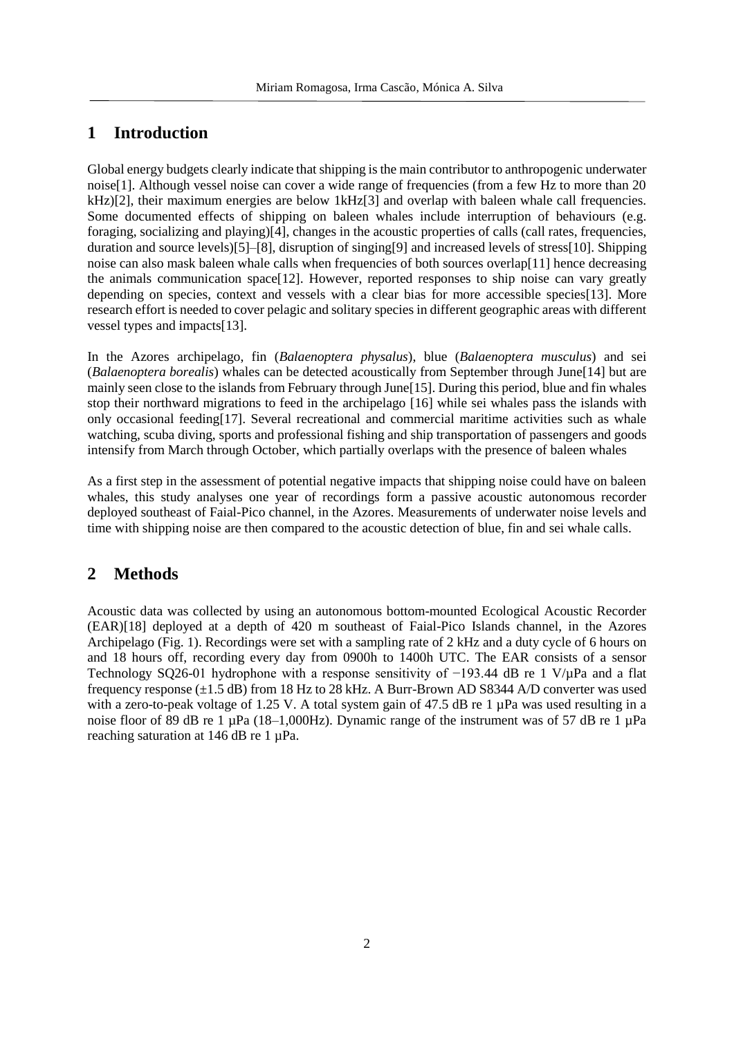## **1 Introduction**

Global energy budgets clearly indicate that shipping is the main contributor to anthropogenic underwater noise[1]. Although vessel noise can cover a wide range of frequencies (from a few Hz to more than 20 kHz)[2], their maximum energies are below 1kHz[3] and overlap with baleen whale call frequencies. Some documented effects of shipping on baleen whales include interruption of behaviours (e.g. foraging, socializing and playing)[4], changes in the acoustic properties of calls (call rates, frequencies, duration and source levels)[5]–[8], disruption of singing[9] and increased levels of stress[10]. Shipping noise can also mask baleen whale calls when frequencies of both sources overlap[11] hence decreasing the animals communication space[12]. However, reported responses to ship noise can vary greatly depending on species, context and vessels with a clear bias for more accessible species[13]. More research effort is needed to cover pelagic and solitary species in different geographic areas with different vessel types and impacts[13].

In the Azores archipelago, fin (*Balaenoptera physalus*), blue (*Balaenoptera musculus*) and sei (*Balaenoptera borealis*) whales can be detected acoustically from September through June[14] but are mainly seen close to the islands from February through June[15]. During this period, blue and fin whales stop their northward migrations to feed in the archipelago [16] while sei whales pass the islands with only occasional feeding[17]. Several recreational and commercial maritime activities such as whale watching, scuba diving, sports and professional fishing and ship transportation of passengers and goods intensify from March through October, which partially overlaps with the presence of baleen whales

As a first step in the assessment of potential negative impacts that shipping noise could have on baleen whales, this study analyses one year of recordings form a passive acoustic autonomous recorder deployed southeast of Faial-Pico channel, in the Azores. Measurements of underwater noise levels and time with shipping noise are then compared to the acoustic detection of blue, fin and sei whale calls.

## **2 Methods**

Acoustic data was collected by using an autonomous bottom-mounted Ecological Acoustic Recorder (EAR)[18] deployed at a depth of 420 m southeast of Faial-Pico Islands channel, in the Azores Archipelago (Fig. 1). Recordings were set with a sampling rate of 2 kHz and a duty cycle of 6 hours on and 18 hours off, recording every day from 0900h to 1400h UTC. The EAR consists of a sensor Technology SO26-01 hydrophone with a response sensitivity of −193.44 dB re 1 V/µPa and a flat frequency response (±1.5 dB) from 18 Hz to 28 kHz. A Burr-Brown AD S8344 A/D converter was used with a zero-to-peak voltage of 1.25 V. A total system gain of 47.5 dB re 1  $\mu$ Pa was used resulting in a noise floor of 89 dB re 1 µPa (18–1,000Hz). Dynamic range of the instrument was of 57 dB re 1 µPa reaching saturation at 146 dB re 1 µPa.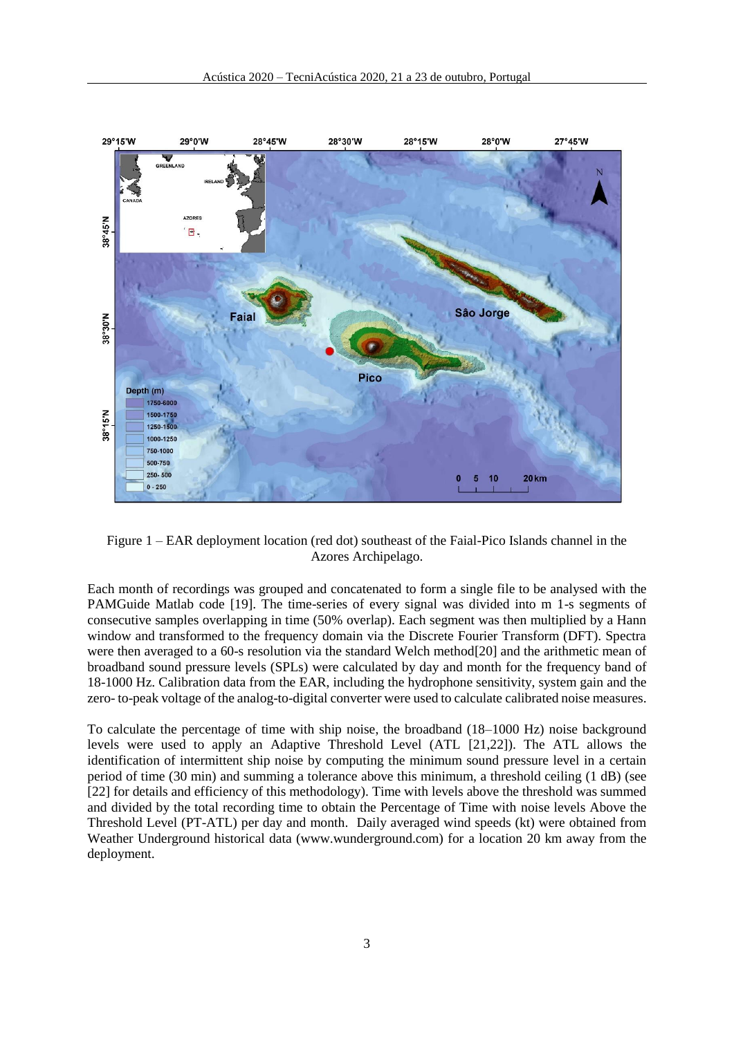

Figure 1 – EAR deployment location (red dot) southeast of the Faial-Pico Islands channel in the Azores Archipelago.

Each month of recordings was grouped and concatenated to form a single file to be analysed with the PAMGuide Matlab code [19]. The time-series of every signal was divided into m 1-s segments of consecutive samples overlapping in time (50% overlap). Each segment was then multiplied by a Hann window and transformed to the frequency domain via the Discrete Fourier Transform (DFT). Spectra were then averaged to a 60-s resolution via the standard Welch method[20] and the arithmetic mean of broadband sound pressure levels (SPLs) were calculated by day and month for the frequency band of 18-1000 Hz. Calibration data from the EAR, including the hydrophone sensitivity, system gain and the zero- to-peak voltage of the analog-to-digital converter were used to calculate calibrated noise measures.

To calculate the percentage of time with ship noise, the broadband (18–1000 Hz) noise background levels were used to apply an Adaptive Threshold Level (ATL [21,22]). The ATL allows the identification of intermittent ship noise by computing the minimum sound pressure level in a certain period of time (30 min) and summing a tolerance above this minimum, a threshold ceiling (1 dB) (see [22] for details and efficiency of this methodology). Time with levels above the threshold was summed and divided by the total recording time to obtain the Percentage of Time with noise levels Above the Threshold Level (PT-ATL) per day and month. Daily averaged wind speeds (kt) were obtained from Weather Underground historical data (www.wunderground.com) for a location 20 km away from the deployment.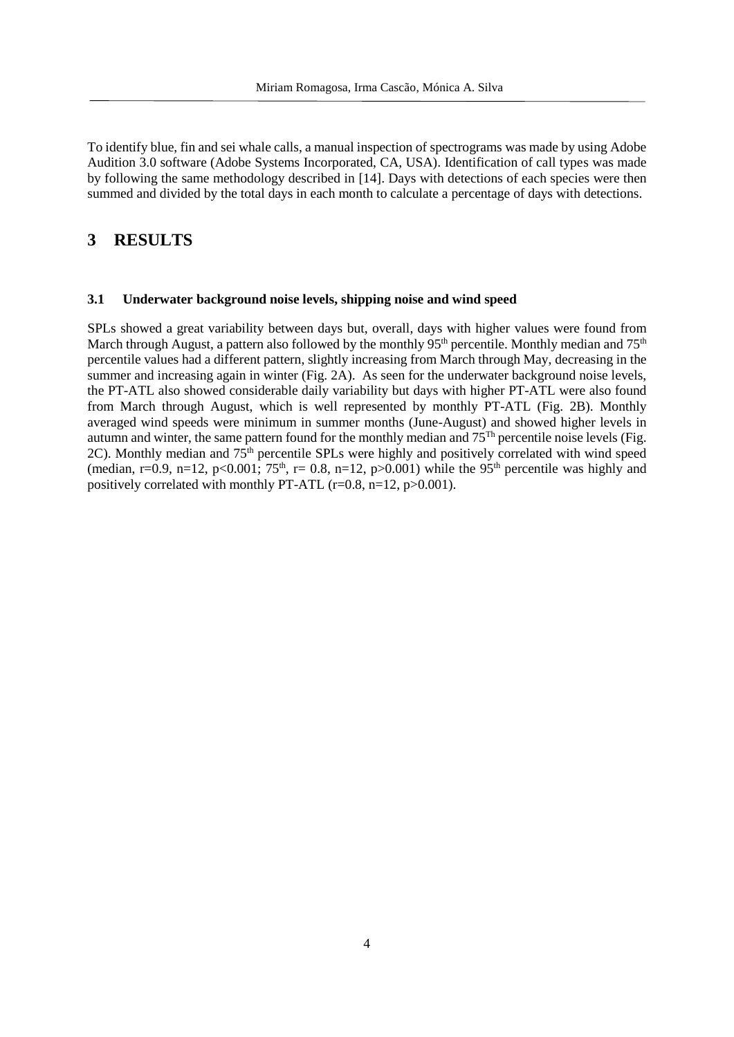To identify blue, fin and sei whale calls, a manual inspection of spectrograms was made by using Adobe Audition 3.0 software (Adobe Systems Incorporated, CA, USA). Identification of call types was made by following the same methodology described in [14]. Days with detections of each species were then summed and divided by the total days in each month to calculate a percentage of days with detections.

## **3 RESULTS**

#### **3.1 Underwater background noise levels, shipping noise and wind speed**

SPLs showed a great variability between days but, overall, days with higher values were found from March through August, a pattern also followed by the monthly 95<sup>th</sup> percentile. Monthly median and 75<sup>th</sup> percentile values had a different pattern, slightly increasing from March through May, decreasing in the summer and increasing again in winter (Fig. 2A). As seen for the underwater background noise levels, the PT-ATL also showed considerable daily variability but days with higher PT-ATL were also found from March through August, which is well represented by monthly PT-ATL (Fig. 2B). Monthly averaged wind speeds were minimum in summer months (June-August) and showed higher levels in autumn and winter, the same pattern found for the monthly median and 75Th percentile noise levels (Fig. 2C). Monthly median and  $75<sup>th</sup>$  percentile SPLs were highly and positively correlated with wind speed (median, r=0.9, n=12, p<0.001; 75<sup>th</sup>, r= 0.8, n=12, p>0.001) while the 95<sup>th</sup> percentile was highly and positively correlated with monthly PT-ATL ( $r=0.8$ ,  $n=12$ ,  $p>0.001$ ).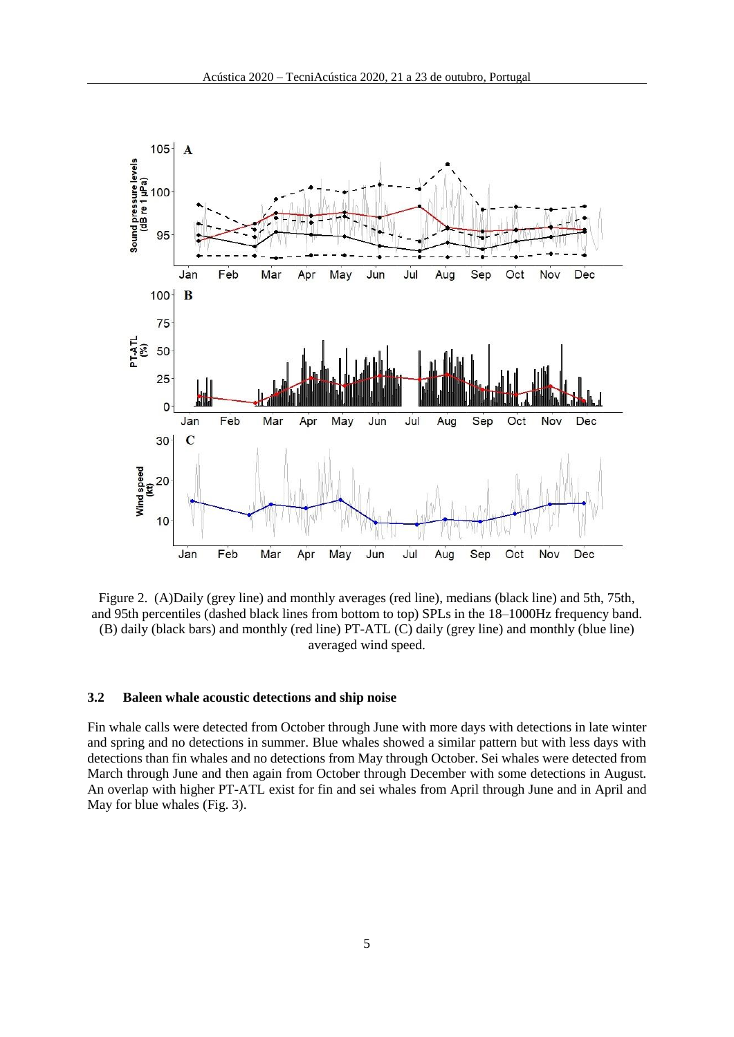

Figure 2. (A)Daily (grey line) and monthly averages (red line), medians (black line) and 5th, 75th, and 95th percentiles (dashed black lines from bottom to top) SPLs in the 18–1000Hz frequency band. (B) daily (black bars) and monthly (red line) PT-ATL (C) daily (grey line) and monthly (blue line) averaged wind speed.

#### **3.2 Baleen whale acoustic detections and ship noise**

Fin whale calls were detected from October through June with more days with detections in late winter and spring and no detections in summer. Blue whales showed a similar pattern but with less days with detections than fin whales and no detections from May through October. Sei whales were detected from March through June and then again from October through December with some detections in August. An overlap with higher PT-ATL exist for fin and sei whales from April through June and in April and May for blue whales (Fig. 3).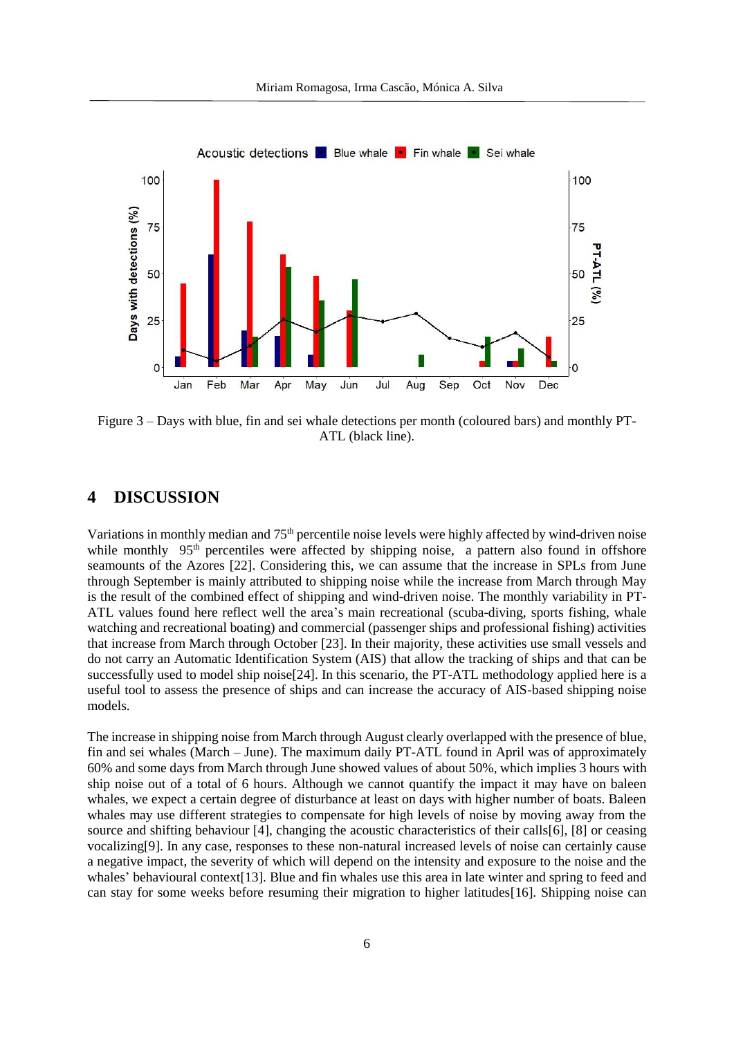

Figure 3 – Days with blue, fin and sei whale detections per month (coloured bars) and monthly PT-ATL (black line).

## **4 DISCUSSION**

Variations in monthly median and  $75<sup>th</sup>$  percentile noise levels were highly affected by wind-driven noise while monthly 95<sup>th</sup> percentiles were affected by shipping noise, a pattern also found in offshore seamounts of the Azores [22]. Considering this, we can assume that the increase in SPLs from June through September is mainly attributed to shipping noise while the increase from March through May is the result of the combined effect of shipping and wind-driven noise. The monthly variability in PT-ATL values found here reflect well the area's main recreational (scuba-diving, sports fishing, whale watching and recreational boating) and commercial (passenger ships and professional fishing) activities that increase from March through October [23]. In their majority, these activities use small vessels and do not carry an Automatic Identification System (AIS) that allow the tracking of ships and that can be successfully used to model ship noise[24]. In this scenario, the PT-ATL methodology applied here is a useful tool to assess the presence of ships and can increase the accuracy of AIS-based shipping noise models.

The increase in shipping noise from March through August clearly overlapped with the presence of blue, fin and sei whales (March – June). The maximum daily PT-ATL found in April was of approximately 60% and some days from March through June showed values of about 50%, which implies 3 hours with ship noise out of a total of 6 hours. Although we cannot quantify the impact it may have on baleen whales, we expect a certain degree of disturbance at least on days with higher number of boats. Baleen whales may use different strategies to compensate for high levels of noise by moving away from the source and shifting behaviour [4], changing the acoustic characteristics of their calls[6], [8] or ceasing vocalizing[9]. In any case, responses to these non-natural increased levels of noise can certainly cause a negative impact, the severity of which will depend on the intensity and exposure to the noise and the whales' behavioural context[13]. Blue and fin whales use this area in late winter and spring to feed and can stay for some weeks before resuming their migration to higher latitudes[16]. Shipping noise can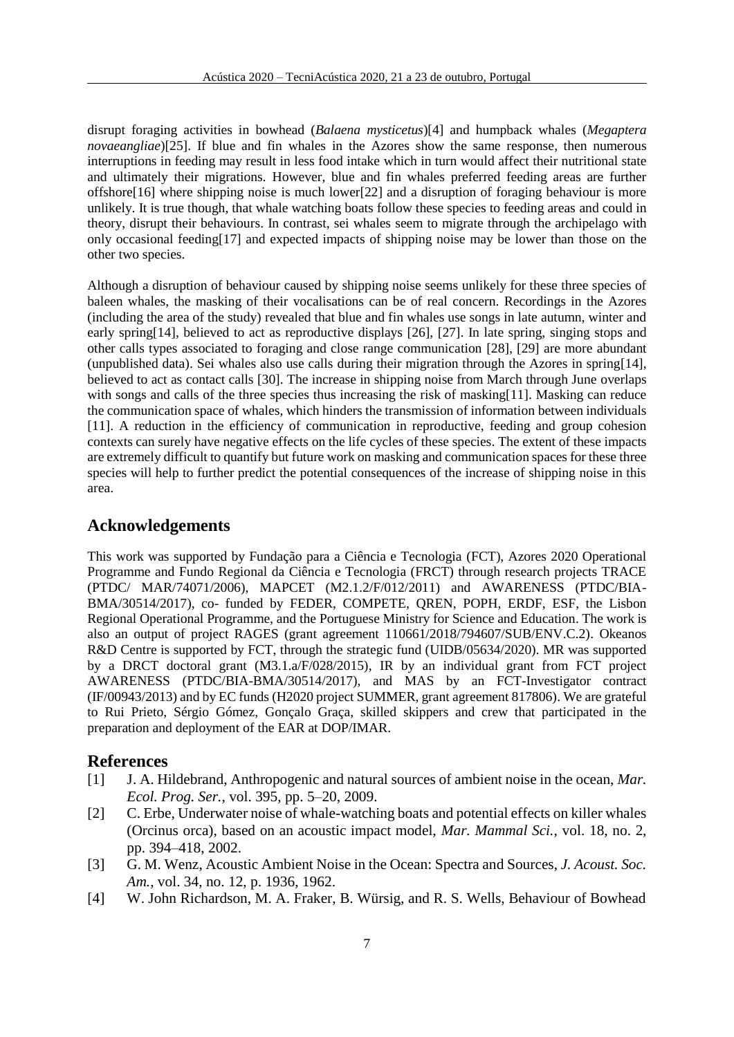disrupt foraging activities in bowhead (*Balaena mysticetus*)[4] and humpback whales (*Megaptera novaeangliae*)[25]. If blue and fin whales in the Azores show the same response, then numerous interruptions in feeding may result in less food intake which in turn would affect their nutritional state and ultimately their migrations. However, blue and fin whales preferred feeding areas are further offshore[16] where shipping noise is much lower[22] and a disruption of foraging behaviour is more unlikely. It is true though, that whale watching boats follow these species to feeding areas and could in theory, disrupt their behaviours. In contrast, sei whales seem to migrate through the archipelago with only occasional feeding[17] and expected impacts of shipping noise may be lower than those on the other two species.

Although a disruption of behaviour caused by shipping noise seems unlikely for these three species of baleen whales, the masking of their vocalisations can be of real concern. Recordings in the Azores (including the area of the study) revealed that blue and fin whales use songs in late autumn, winter and early spring[14], believed to act as reproductive displays [26], [27]. In late spring, singing stops and other calls types associated to foraging and close range communication [28], [29] are more abundant (unpublished data). Sei whales also use calls during their migration through the Azores in spring[14], believed to act as contact calls [30]. The increase in shipping noise from March through June overlaps with songs and calls of the three species thus increasing the risk of masking[11]. Masking can reduce the communication space of whales, which hinders the transmission of information between individuals [11]. A reduction in the efficiency of communication in reproductive, feeding and group cohesion contexts can surely have negative effects on the life cycles of these species. The extent of these impacts are extremely difficult to quantify but future work on masking and communication spaces for these three species will help to further predict the potential consequences of the increase of shipping noise in this area.

## **Acknowledgements**

This work was supported by Fundação para a Ciência e Tecnologia (FCT), Azores 2020 Operational Programme and Fundo Regional da Ciência e Tecnologia (FRCT) through research projects TRACE (PTDC/ MAR/74071/2006), MAPCET (M2.1.2/F/012/2011) and AWARENESS (PTDC/BIA-BMA/30514/2017), co- funded by FEDER, COMPETE, QREN, POPH, ERDF, ESF, the Lisbon Regional Operational Programme, and the Portuguese Ministry for Science and Education. The work is also an output of project RAGES (grant agreement 110661/2018/794607/SUB/ENV.C.2). Okeanos R&D Centre is supported by FCT, through the strategic fund (UIDB/05634/2020). MR was supported by a DRCT doctoral grant (M3.1.a/F/028/2015), IR by an individual grant from FCT project AWARENESS (PTDC/BIA-BMA/30514/2017), and MAS by an FCT-Investigator contract (IF/00943/2013) and by EC funds (H2020 project SUMMER, grant agreement 817806). We are grateful to Rui Prieto, Sérgio Gómez, Gonçalo Graça, skilled skippers and crew that participated in the preparation and deployment of the EAR at DOP/IMAR.

## **References**

- [1] J. A. Hildebrand, Anthropogenic and natural sources of ambient noise in the ocean, *Mar. Ecol. Prog. Ser.*, vol. 395, pp. 5–20, 2009.
- [2] C. Erbe, Underwater noise of whale-watching boats and potential effects on killer whales (Orcinus orca), based on an acoustic impact model, *Mar. Mammal Sci.*, vol. 18, no. 2, pp. 394–418, 2002.
- [3] G. M. Wenz, Acoustic Ambient Noise in the Ocean: Spectra and Sources, *J. Acoust. Soc. Am.*, vol. 34, no. 12, p. 1936, 1962.
- [4] W. John Richardson, M. A. Fraker, B. Würsig, and R. S. Wells, Behaviour of Bowhead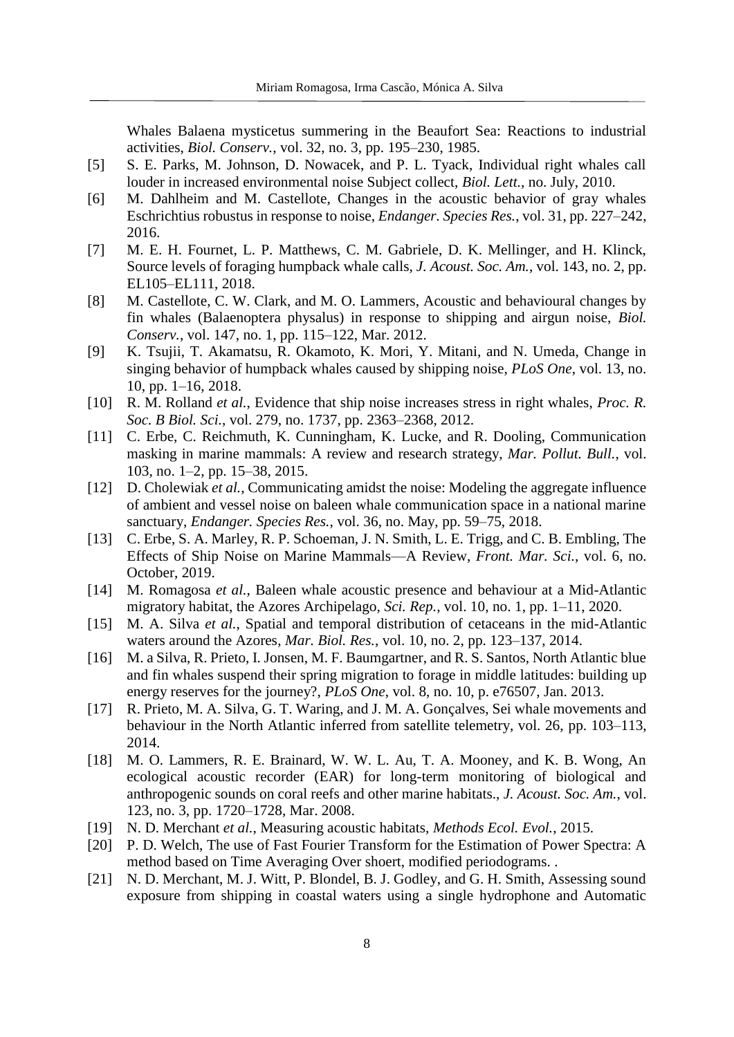Whales Balaena mysticetus summering in the Beaufort Sea: Reactions to industrial activities, *Biol. Conserv.*, vol. 32, no. 3, pp. 195–230, 1985.

- [5] S. E. Parks, M. Johnson, D. Nowacek, and P. L. Tyack, Individual right whales call louder in increased environmental noise Subject collect, *Biol. Lett.*, no. July, 2010.
- [6] M. Dahlheim and M. Castellote, Changes in the acoustic behavior of gray whales Eschrichtius robustus in response to noise, *Endanger. Species Res.*, vol. 31, pp. 227–242, 2016.
- [7] M. E. H. Fournet, L. P. Matthews, C. M. Gabriele, D. K. Mellinger, and H. Klinck, Source levels of foraging humpback whale calls, *J. Acoust. Soc. Am.*, vol. 143, no. 2, pp. EL105–EL111, 2018.
- [8] M. Castellote, C. W. Clark, and M. O. Lammers, Acoustic and behavioural changes by fin whales (Balaenoptera physalus) in response to shipping and airgun noise, *Biol. Conserv.*, vol. 147, no. 1, pp. 115–122, Mar. 2012.
- [9] K. Tsujii, T. Akamatsu, R. Okamoto, K. Mori, Y. Mitani, and N. Umeda, Change in singing behavior of humpback whales caused by shipping noise, *PLoS One*, vol. 13, no. 10, pp. 1–16, 2018.
- [10] R. M. Rolland *et al.*, Evidence that ship noise increases stress in right whales, *Proc. R. Soc. B Biol. Sci.*, vol. 279, no. 1737, pp. 2363–2368, 2012.
- [11] C. Erbe, C. Reichmuth, K. Cunningham, K. Lucke, and R. Dooling, Communication masking in marine mammals: A review and research strategy, *Mar. Pollut. Bull.*, vol. 103, no. 1–2, pp. 15–38, 2015.
- [12] D. Cholewiak *et al.*, Communicating amidst the noise: Modeling the aggregate influence of ambient and vessel noise on baleen whale communication space in a national marine sanctuary, *Endanger. Species Res.*, vol. 36, no. May, pp. 59–75, 2018.
- [13] C. Erbe, S. A. Marley, R. P. Schoeman, J. N. Smith, L. E. Trigg, and C. B. Embling, The Effects of Ship Noise on Marine Mammals—A Review, *Front. Mar. Sci.*, vol. 6, no. October, 2019.
- [14] M. Romagosa *et al.*, Baleen whale acoustic presence and behaviour at a Mid-Atlantic migratory habitat, the Azores Archipelago, *Sci. Rep.*, vol. 10, no. 1, pp. 1–11, 2020.
- [15] M. A. Silva *et al.*, Spatial and temporal distribution of cetaceans in the mid-Atlantic waters around the Azores, *Mar. Biol. Res.*, vol. 10, no. 2, pp. 123–137, 2014.
- [16] M. a Silva, R. Prieto, I. Jonsen, M. F. Baumgartner, and R. S. Santos, North Atlantic blue and fin whales suspend their spring migration to forage in middle latitudes: building up energy reserves for the journey?, *PLoS One*, vol. 8, no. 10, p. e76507, Jan. 2013.
- [17] R. Prieto, M. A. Silva, G. T. Waring, and J. M. A. Gonçalves, Sei whale movements and behaviour in the North Atlantic inferred from satellite telemetry, vol. 26, pp. 103–113, 2014.
- [18] M. O. Lammers, R. E. Brainard, W. W. L. Au, T. A. Mooney, and K. B. Wong, An ecological acoustic recorder (EAR) for long-term monitoring of biological and anthropogenic sounds on coral reefs and other marine habitats., *J. Acoust. Soc. Am.*, vol. 123, no. 3, pp. 1720–1728, Mar. 2008.
- [19] N. D. Merchant *et al.*, Measuring acoustic habitats, *Methods Ecol. Evol.*, 2015.
- [20] P. D. Welch, The use of Fast Fourier Transform for the Estimation of Power Spectra: A method based on Time Averaging Over shoert, modified periodograms. .
- [21] N. D. Merchant, M. J. Witt, P. Blondel, B. J. Godley, and G. H. Smith, Assessing sound exposure from shipping in coastal waters using a single hydrophone and Automatic